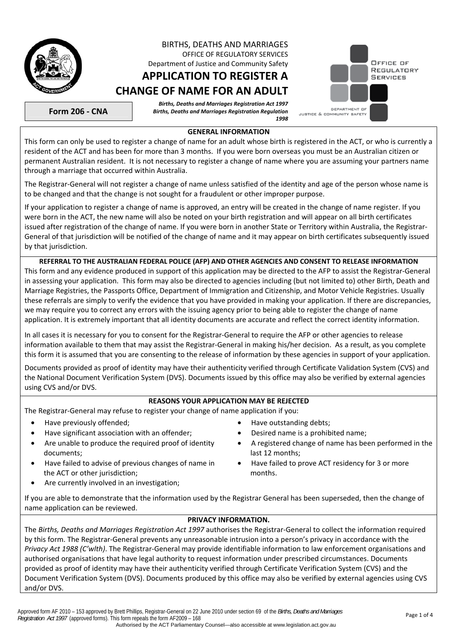

# BIRTHS, DEATHS AND MARRIAGES OFFICE OF REGULATORY SERVICES

Department of Justice and Community Safety **APPLICATION TO REGISTER A**

# **CHANGE OF NAME FOR AN ADULT**

*Births, Deaths and Marriages Registration Act 1997 Births, Deaths and Marriages Registration Regulation 1998* 



**Form 206 - CNA** 

### **GENERAL INFORMATION**

This form can only be used to register a change of name for an adult whose birth is registered in the ACT, or who is currently a resident of the ACT and has been for more than 3 months. If you were born overseas you must be an Australian citizen or permanent Australian resident. It is not necessary to register a change of name where you are assuming your partners name through a marriage that occurred within Australia.

The Registrar-General will not register a change of name unless satisfied of the identity and age of the person whose name is to be changed and that the change is not sought for a fraudulent or other improper purpose.

If your application to register a change of name is approved, an entry will be created in the change of name register. If you were born in the ACT, the new name will also be noted on your birth registration and will appear on all birth certificates issued after registration of the change of name. If you were born in another State or Territory within Australia, the Registrar-General of that jurisdiction will be notified of the change of name and it may appear on birth certificates subsequently issued by that jurisdiction.

**REFERRAL TO THE AUSTRALIAN FEDERAL POLICE (AFP) AND OTHER AGENCIES AND CONSENT TO RELEASE INFORMATION**  This form and any evidence produced in support of this application may be directed to the AFP to assist the Registrar-General

in assessing your application. This form may also be directed to agencies including (but not limited to) other Birth, Death and Marriage Registries, the Passports Office, Department of Immigration and Citizenship, and Motor Vehicle Registries. Usually these referrals are simply to verify the evidence that you have provided in making your application. If there are discrepancies, we may require you to correct any errors with the issuing agency prior to being able to register the change of name application. It is extremely important that all identity documents are accurate and reflect the correct identity information.

In all cases it is necessary for you to consent for the Registrar-General to require the AFP or other agencies to release information available to them that may assist the Registrar-General in making his/her decision. As a result, as you complete this form it is assumed that you are consenting to the release of information by these agencies in support of your application.

Documents provided as proof of identity may have their authenticity verified through Certificate Validation System (CVS) and the National Document Verification System (DVS). Documents issued by this office may also be verified by external agencies using CVS and/or DVS.

# **REASONS YOUR APPLICATION MAY BE REJECTED**

The Registrar-General may refuse to register your change of name application if you:

- Have previously offended;  $\bullet$  Have outstanding debts;
- Have significant association with an offender;  **Common System Provident** announces a prohibited name;
- Are unable to produce the required proof of identity documents;
- Have failed to advise of previous changes of name in the ACT or other jurisdiction;
- Are currently involved in an investigation:
- 
- 
- A registered change of name has been performed in the last 12 months;
- Have failed to prove ACT residency for 3 or more months.

If you are able to demonstrate that the information used by the Registrar General has been superseded, then the change of name application can be reviewed.

# **PRIVACY INFORMATION.**

The *Births, Deaths and Marriages Registration Act 1997* authorises the Registrar-General to collect the information required by this form. The Registrar-General prevents any unreasonable intrusion into a person's privacy in accordance with the *Privacy Act 1988 (C'wlth)*. The Registrar-General may provide identifiable information to law enforcement organisations and authorised organisations that have legal authority to request information under prescribed circumstances. Documents provided as proof of identity may have their authenticity verified through Certificate Verification System (CVS) and the Document Verification System (DVS). Documents produced by this office may also be verified by external agencies using CVS and/or DVS.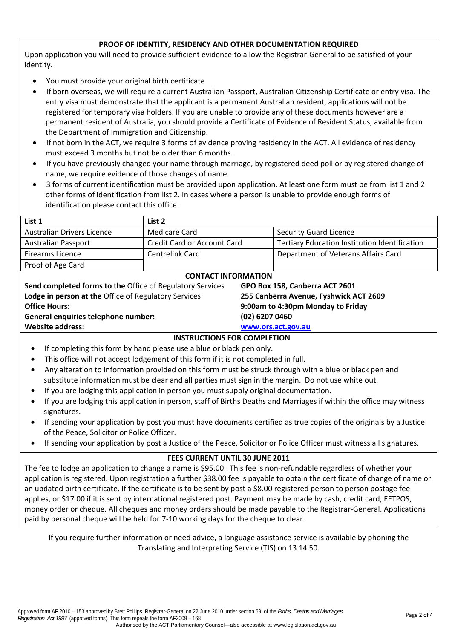# **PROOF OF IDENTITY, RESIDENCY AND OTHER DOCUMENTATION REQUIRED**

Upon application you will need to provide sufficient evidence to allow the Registrar-General to be satisfied of your identity.

- You must provide your original birth certificate
- If born overseas, we will require a current Australian Passport, Australian Citizenship Certificate or entry visa. The entry visa must demonstrate that the applicant is a permanent Australian resident, applications will not be registered for temporary visa holders. If you are unable to provide any of these documents however are a permanent resident of Australia, you should provide a Certificate of Evidence of Resident Status, available from the Department of Immigration and Citizenship.
- If not born in the ACT, we require 3 forms of evidence proving residency in the ACT. All evidence of residency must exceed 3 months but not be older than 6 months.
- If you have previously changed your name through marriage, by registered deed poll or by registered change of name, we require evidence of those changes of name.
- 3 forms of current identification must be provided upon application. At least one form must be from list 1 and 2 other forms of identification from list 2. In cases where a person is unable to provide enough forms of identification please contact this office.

| List 1                                                                                      | List 2                      |                                        |                                                      |  |  |  |  |
|---------------------------------------------------------------------------------------------|-----------------------------|----------------------------------------|------------------------------------------------------|--|--|--|--|
| <b>Australian Drivers Licence</b>                                                           | Medicare Card               |                                        | <b>Security Guard Licence</b>                        |  |  |  |  |
| <b>Australian Passport</b>                                                                  | Credit Card or Account Card |                                        | <b>Tertiary Education Institution Identification</b> |  |  |  |  |
| <b>Firearms Licence</b>                                                                     | Centrelink Card             |                                        | Department of Veterans Affairs Card                  |  |  |  |  |
| Proof of Age Card                                                                           |                             |                                        |                                                      |  |  |  |  |
| <b>CONTACT INFORMATION</b>                                                                  |                             |                                        |                                                      |  |  |  |  |
| Send completed forms to the Office of Regulatory Services<br>GPO Box 158, Canberra ACT 2601 |                             |                                        |                                                      |  |  |  |  |
| Lodge in person at the Office of Regulatory Services:                                       |                             | 255 Canberra Avenue, Fyshwick ACT 2609 |                                                      |  |  |  |  |
| <b>Office Hours:</b>                                                                        |                             | 9:00am to 4:30pm Monday to Friday      |                                                      |  |  |  |  |
| General enquiries telephone number:                                                         |                             | (02) 6207 0460                         |                                                      |  |  |  |  |
| <b>Website address:</b>                                                                     |                             | www.ors.act.gov.au                     |                                                      |  |  |  |  |
|                                                                                             |                             |                                        |                                                      |  |  |  |  |

### **INSTRUCTIONS FOR COMPLETION**

- If completing this form by hand please use a blue or black pen only.
- This office will not accept lodgement of this form if it is not completed in full.
- Any alteration to information provided on this form must be struck through with a blue or black pen and substitute information must be clear and all parties must sign in the margin. Do not use white out.
- If you are lodging this application in person you must supply original documentation.
- If you are lodging this application in person, staff of Births Deaths and Marriages if within the office may witness signatures.
- If sending your application by post you must have documents certified as true copies of the originals by a Justice of the Peace, Solicitor or Police Officer.
- If sending your application by post a Justice of the Peace, Solicitor or Police Officer must witness all signatures.

### **FEES CURRENT UNTIL 30 JUNE 2011**

The fee to lodge an application to change a name is \$95.00. This fee is non-refundable regardless of whether your application is registered. Upon registration a further \$38.00 fee is payable to obtain the certificate of change of name or an updated birth certificate. If the certificate is to be sent by post a \$8.00 registered person to person postage fee applies, or \$17.00 if it is sent by international registered post. Payment may be made by cash, credit card, EFTPOS, money order or cheque. All cheques and money orders should be made payable to the Registrar-General. Applications paid by personal cheque will be held for 7-10 working days for the cheque to clear.

If you require further information or need advice, a language assistance service is available by phoning the Translating and Interpreting Service (TIS) on 13 14 50.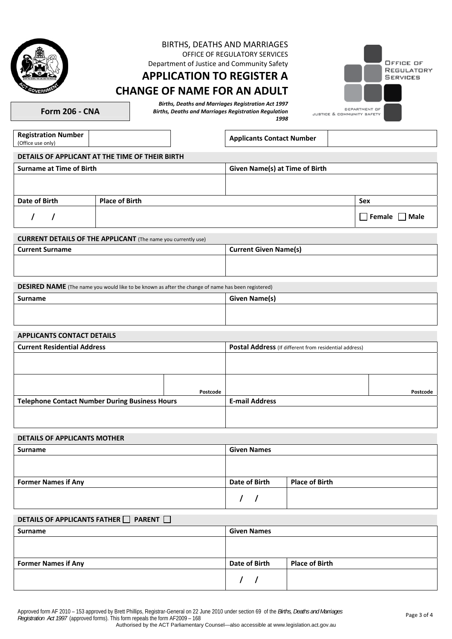

### BIRTHS, DEATHS AND MARRIAGES OFFICE OF REGULATORY SERVICES

Department of Justice and Community Safety

# **APPLICATION TO REGISTER A CHANGE OF NAME FOR AN ADULT**

OFFICE OF REGULATORY **SERVICES** DEPARTMENT OF JUSTICE & COMMUNITY SAFETY

**Form 206 - CNA** 

*Births, Deaths and Marriages Registration Act 1997 Births, Deaths and Marriages Registration Regulation 1998* 

**Registration Number** (Office use only)

**Applicants Contact Number** 

# **DETAILS OF APPLICANT AT THE TIME OF THEIR BIRTH**

| <b>Surname at Time of Birth</b> |                       | <b>Given Name(s) at Time of Birth</b> |                       |
|---------------------------------|-----------------------|---------------------------------------|-----------------------|
|                                 |                       |                                       |                       |
|                                 |                       |                                       |                       |
| Date of Birth                   | <b>Place of Birth</b> |                                       | Sex                   |
|                                 |                       |                                       | Male<br>$\Box$ Female |

# **CURRENT DETAILS OF THE APPLICANT** (The name you currently use)

| <b>Current Surname</b> | <b>Current Given Name(s)</b> |
|------------------------|------------------------------|
|                        |                              |
|                        |                              |
|                        |                              |

**DESIRED NAME** (The name you would like to be known as after the change of name has been registered)

| <b>Surname</b><br>_____ | <b>Given Name(s)</b> |
|-------------------------|----------------------|
|                         |                      |
|                         |                      |

### **APPLICANTS CONTACT DETAILS**

| <b>Current Residential Address</b>                    |          | Postal Address (If different from residential address) |          |  |  |  |
|-------------------------------------------------------|----------|--------------------------------------------------------|----------|--|--|--|
|                                                       |          |                                                        |          |  |  |  |
|                                                       |          |                                                        |          |  |  |  |
|                                                       |          |                                                        |          |  |  |  |
|                                                       |          |                                                        |          |  |  |  |
|                                                       |          |                                                        |          |  |  |  |
|                                                       | Postcode |                                                        | Postcode |  |  |  |
| <b>Telephone Contact Number During Business Hours</b> |          | <b>E-mail Address</b>                                  |          |  |  |  |
|                                                       |          |                                                        |          |  |  |  |
|                                                       |          |                                                        |          |  |  |  |
|                                                       |          |                                                        |          |  |  |  |

### **DETAILS OF APPLICANTS MOTHER**

| Surname                    | <b>Given Names</b> |                       |  |  |  |  |  |  |  |  |
|----------------------------|--------------------|-----------------------|--|--|--|--|--|--|--|--|
|                            |                    |                       |  |  |  |  |  |  |  |  |
|                            |                    |                       |  |  |  |  |  |  |  |  |
| <b>Former Names if Any</b> | Date of Birth      | <b>Place of Birth</b> |  |  |  |  |  |  |  |  |
|                            |                    |                       |  |  |  |  |  |  |  |  |

# **DETAILS OF APPLICANTS FATHER PARENT**

| Surname                    | <b>Given Names</b> |                       |  |  |  |  |  |  |  |  |
|----------------------------|--------------------|-----------------------|--|--|--|--|--|--|--|--|
|                            |                    |                       |  |  |  |  |  |  |  |  |
|                            |                    |                       |  |  |  |  |  |  |  |  |
| <b>Former Names if Any</b> | Date of Birth      | <b>Place of Birth</b> |  |  |  |  |  |  |  |  |
|                            |                    |                       |  |  |  |  |  |  |  |  |